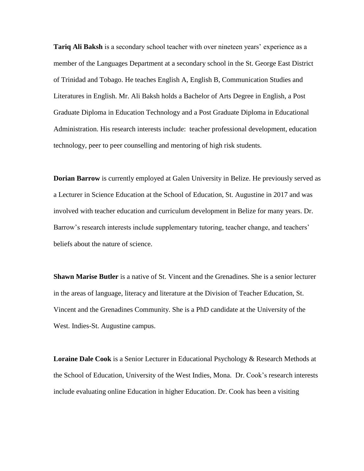**Tariq Ali Baksh** is a secondary school teacher with over nineteen years' experience as a member of the Languages Department at a secondary school in the St. George East District of Trinidad and Tobago. He teaches English A, English B, Communication Studies and Literatures in English. Mr. Ali Baksh holds a Bachelor of Arts Degree in English, a Post Graduate Diploma in Education Technology and a Post Graduate Diploma in Educational Administration. His research interests include: teacher professional development, education technology, peer to peer counselling and mentoring of high risk students.

**Dorian Barrow** is currently employed at Galen University in Belize. He previously served as a Lecturer in Science Education at the School of Education, St. Augustine in 2017 and was involved with teacher education and curriculum development in Belize for many years. Dr. Barrow's research interests include supplementary tutoring, teacher change, and teachers' beliefs about the nature of science.

**Shawn Marise Butler** is a native of St. Vincent and the Grenadines. She is a senior lecturer in the areas of language, literacy and literature at the Division of Teacher Education, St. Vincent and the Grenadines Community. She is a PhD candidate at the University of the West. Indies-St. Augustine campus.

**Loraine Dale Cook** is a Senior Lecturer in Educational Psychology & Research Methods at the School of Education, University of the West Indies, Mona. Dr. Cook's research interests include evaluating online Education in higher Education. Dr. Cook has been a visiting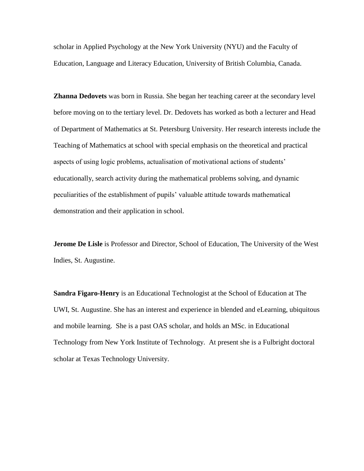scholar in Applied Psychology at the New York University (NYU) and the Faculty of Education, Language and Literacy Education, University of British Columbia, Canada.

**Zhanna Dedovets** was born in Russia. She began her teaching career at the secondary level before moving on to the tertiary level. Dr. Dedovets has worked as both a lecturer and Head of Department of Mathematics at St. Petersburg University. Her research interests include the Teaching of Mathematics at school with special emphasis on the theoretical and practical aspects of using logic problems, actualisation of motivational actions of students' educationally, search activity during the mathematical problems solving, and dynamic peculiarities of the establishment of pupils' valuable attitude towards mathematical demonstration and their application in school.

**Jerome De Lisle** is Professor and Director, School of Education, The University of the West Indies, St. Augustine.

**Sandra Figaro-Henry** is an Educational Technologist at the School of Education at The UWI, St. Augustine. She has an interest and experience in blended and eLearning, ubiquitous and mobile learning. She is a past OAS scholar, and holds an MSc. in Educational Technology from New York Institute of Technology. At present she is a Fulbright doctoral scholar at Texas Technology University.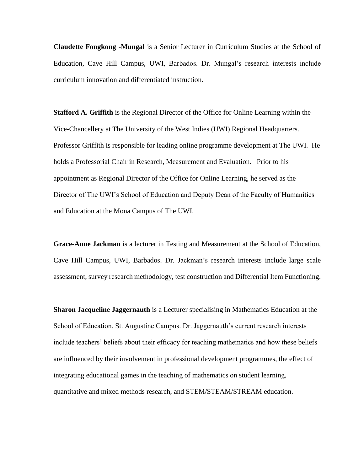**Claudette Fongkong -Mungal** is a Senior Lecturer in Curriculum Studies at the School of Education, Cave Hill Campus, UWI, Barbados. Dr. Mungal's research interests include curriculum innovation and differentiated instruction.

**Stafford A. Griffith** is the Regional Director of the Office for Online Learning within the Vice-Chancellery at The University of the West Indies (UWI) Regional Headquarters. Professor Griffith is responsible for leading online programme development at The UWI. He holds a Professorial Chair in Research, Measurement and Evaluation. Prior to his appointment as Regional Director of the Office for Online Learning, he served as the Director of The UWI's School of Education and Deputy Dean of the Faculty of Humanities and Education at the Mona Campus of The UWI.

**Grace-Anne Jackman** is a lecturer in Testing and Measurement at the School of Education, Cave Hill Campus, UWI, Barbados. Dr. Jackman's research interests include large scale assessment, survey research methodology, test construction and Differential Item Functioning.

**Sharon Jacqueline Jaggernauth** is a Lecturer specialising in Mathematics Education at the School of Education, St. Augustine Campus. Dr. Jaggernauth's current research interests include teachers' beliefs about their efficacy for teaching mathematics and how these beliefs are influenced by their involvement in professional development programmes, the effect of integrating educational games in the teaching of mathematics on student learning, quantitative and mixed methods research, and STEM/STEAM/STREAM education.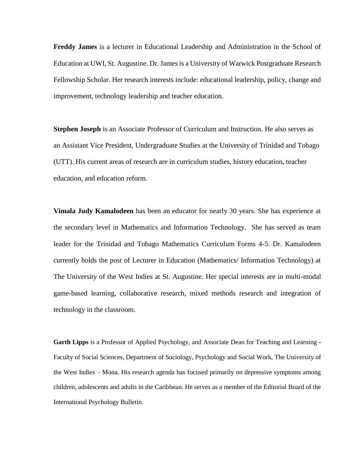**Freddy James** is a lecturer in Educational Leadership and Administration in the School of Education at UWI, St. Augustine. Dr. James is a University of Warwick Postgraduate Research Fellowship Scholar. Her research interests include: educational leadership, policy, change and improvement, technology leadership and teacher education.

**Stephen Joseph** is an Associate Professor of Curriculum and Instruction. He also serves as an Assistant Vice President, Undergraduate Studies at the University of Trinidad and Tobago (UTT). His current areas of research are in curriculum studies, history education, teacher education, and education reform.

**Vimala Judy Kamalodeen** has been an educator for nearly 30 years. She has experience at the secondary level in Mathematics and Information Technology. She has served as team leader for the Trinidad and Tobago Mathematics Curriculum Forms 4-5. Dr. Kamalodeen currently holds the post of Lecturer in Education (Mathematics/ Information Technology) at The University of the West Indies at St. Augustine. Her special interests are in multi-modal game-based learning, collaborative research, mixed methods research and integration of technology in the classroom.

**Garth Lipps** is a Professor of Applied Psychology, and Associate Dean for Teaching and Learning - Faculty of Social Sciences, Department of Sociology, Psychology and Social Work, The University of the West Indies – Mona. His research agenda has focused primarily on depressive symptoms among children, adolescents and adults in the Caribbean. He serves as a member of the Editorial Board of the International Psychology Bulletin.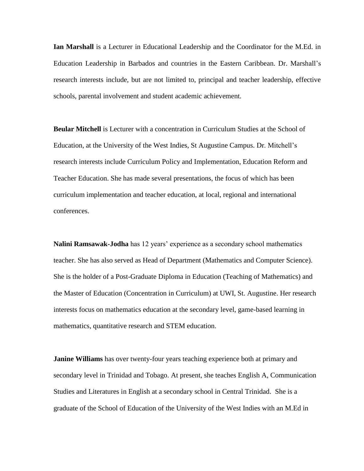**Ian Marshall** is a Lecturer in Educational Leadership and the Coordinator for the M.Ed. in Education Leadership in Barbados and countries in the Eastern Caribbean. Dr. Marshall's research interests include, but are not limited to, principal and teacher leadership, effective schools, parental involvement and student academic achievement.

**Beular Mitchell** is Lecturer with a concentration in Curriculum Studies at the School of Education, at the University of the West Indies, St Augustine Campus. Dr. Mitchell's research interests include Curriculum Policy and Implementation, Education Reform and Teacher Education. She has made several presentations, the focus of which has been curriculum implementation and teacher education, at local, regional and international conferences.

**Nalini Ramsawak-Jodha** has 12 years' experience as a secondary school mathematics teacher. She has also served as Head of Department (Mathematics and Computer Science). She is the holder of a Post-Graduate Diploma in Education (Teaching of Mathematics) and the Master of Education (Concentration in Curriculum) at UWI, St. Augustine. Her research interests focus on mathematics education at the secondary level, game-based learning in mathematics, quantitative research and STEM education.

**Janine Williams** has over twenty-four years teaching experience both at primary and secondary level in Trinidad and Tobago. At present, she teaches English A, Communication Studies and Literatures in English at a secondary school in Central Trinidad. She is a graduate of the School of Education of the University of the West Indies with an M.Ed in